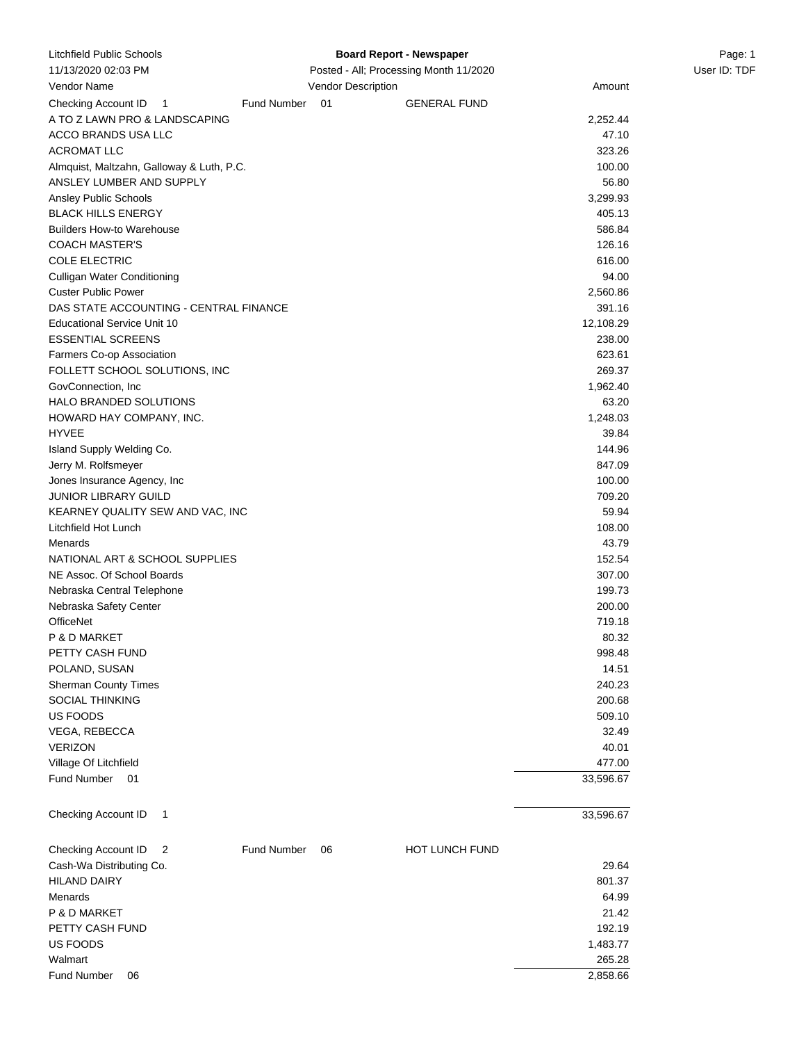| Litchfield Public Schools                 | <b>Board Report - Newspaper</b>        |                    |                     |           | Page: 1      |
|-------------------------------------------|----------------------------------------|--------------------|---------------------|-----------|--------------|
| 11/13/2020 02:03 PM                       | Posted - All; Processing Month 11/2020 |                    |                     |           | User ID: TDF |
| Vendor Name                               |                                        | Vendor Description |                     | Amount    |              |
| Checking Account ID<br>$\overline{1}$     | Fund Number                            | 01                 | <b>GENERAL FUND</b> |           |              |
| A TO Z LAWN PRO & LANDSCAPING             |                                        |                    |                     | 2,252.44  |              |
| ACCO BRANDS USA LLC                       |                                        |                    |                     | 47.10     |              |
| <b>ACROMAT LLC</b>                        |                                        |                    |                     | 323.26    |              |
| Almquist, Maltzahn, Galloway & Luth, P.C. |                                        |                    |                     | 100.00    |              |
| ANSLEY LUMBER AND SUPPLY                  |                                        |                    |                     | 56.80     |              |
| Ansley Public Schools                     |                                        |                    |                     | 3,299.93  |              |
| <b>BLACK HILLS ENERGY</b>                 |                                        |                    |                     | 405.13    |              |
| <b>Builders How-to Warehouse</b>          |                                        |                    |                     | 586.84    |              |
| <b>COACH MASTER'S</b>                     |                                        |                    |                     | 126.16    |              |
| <b>COLE ELECTRIC</b>                      |                                        |                    |                     | 616.00    |              |
| <b>Culligan Water Conditioning</b>        |                                        |                    |                     | 94.00     |              |
| <b>Custer Public Power</b>                |                                        |                    |                     | 2,560.86  |              |
| DAS STATE ACCOUNTING - CENTRAL FINANCE    |                                        |                    |                     | 391.16    |              |
| <b>Educational Service Unit 10</b>        |                                        |                    |                     | 12,108.29 |              |
| <b>ESSENTIAL SCREENS</b>                  |                                        |                    |                     | 238.00    |              |
| Farmers Co-op Association                 |                                        |                    |                     | 623.61    |              |
| FOLLETT SCHOOL SOLUTIONS, INC             |                                        |                    |                     | 269.37    |              |
| GovConnection, Inc.                       |                                        |                    |                     | 1,962.40  |              |
| HALO BRANDED SOLUTIONS                    |                                        |                    |                     | 63.20     |              |
| HOWARD HAY COMPANY, INC.                  |                                        |                    |                     | 1,248.03  |              |
| <b>HYVEE</b>                              |                                        |                    |                     | 39.84     |              |
| Island Supply Welding Co.                 |                                        |                    |                     | 144.96    |              |
| Jerry M. Rolfsmeyer                       |                                        |                    |                     | 847.09    |              |
| Jones Insurance Agency, Inc.              |                                        |                    |                     | 100.00    |              |
| <b>JUNIOR LIBRARY GUILD</b>               |                                        |                    |                     | 709.20    |              |
| KEARNEY QUALITY SEW AND VAC, INC          |                                        |                    |                     | 59.94     |              |
| Litchfield Hot Lunch                      |                                        |                    |                     | 108.00    |              |
| Menards                                   |                                        |                    |                     | 43.79     |              |
| NATIONAL ART & SCHOOL SUPPLIES            |                                        |                    |                     | 152.54    |              |
| NE Assoc. Of School Boards                |                                        |                    |                     | 307.00    |              |
| Nebraska Central Telephone                |                                        |                    |                     | 199.73    |              |
| Nebraska Safety Center                    |                                        |                    |                     | 200.00    |              |
| <b>OfficeNet</b>                          |                                        |                    |                     | 719.18    |              |
| P & D MARKET                              |                                        |                    |                     | 80.32     |              |
| PETTY CASH FUND                           |                                        |                    |                     | 998.48    |              |
| POLAND, SUSAN                             |                                        |                    |                     | 14.51     |              |
| <b>Sherman County Times</b>               |                                        |                    |                     | 240.23    |              |
| <b>SOCIAL THINKING</b>                    |                                        |                    |                     | 200.68    |              |
| US FOODS                                  |                                        |                    |                     | 509.10    |              |
| VEGA, REBECCA                             |                                        |                    |                     | 32.49     |              |
| <b>VERIZON</b>                            |                                        |                    |                     | 40.01     |              |
| Village Of Litchfield                     |                                        |                    |                     | 477.00    |              |
| Fund Number 01                            |                                        |                    |                     | 33,596.67 |              |
|                                           |                                        |                    |                     |           |              |
| Checking Account ID<br>1                  |                                        |                    |                     | 33,596.67 |              |
|                                           |                                        |                    |                     |           |              |
| Checking Account ID<br>2                  | Fund Number                            | 06                 | HOT LUNCH FUND      |           |              |
| Cash-Wa Distributing Co.                  |                                        |                    |                     | 29.64     |              |
| <b>HILAND DAIRY</b>                       |                                        |                    |                     | 801.37    |              |
| Menards                                   |                                        |                    |                     | 64.99     |              |
| P & D MARKET                              |                                        |                    |                     | 21.42     |              |
| PETTY CASH FUND                           |                                        |                    |                     | 192.19    |              |
| US FOODS                                  |                                        |                    |                     | 1,483.77  |              |
| Walmart                                   |                                        |                    |                     | 265.28    |              |
| <b>Fund Number</b><br>06                  |                                        |                    |                     | 2,858.66  |              |